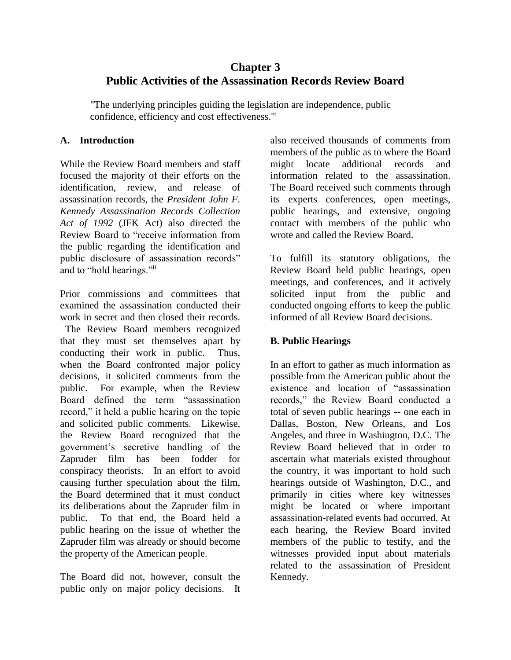# **Chapter 3 Public Activities of the Assassination Records Review Board**

"The underlying principles guiding the legislation are independence, public confidence, efficiency and cost effectiveness."<sup>i</sup>

### **A. Introduction**

While the Review Board members and staff focused the majority of their efforts on the identification, review, and release of assassination records, the *President John F. Kennedy Assassination Records Collection Act of 1992* (JFK Act) also directed the Review Board to "receive information from the public regarding the identification and public disclosure of assassination records" and to "hold hearings."ii

Prior commissions and committees that examined the assassination conducted their work in secret and then closed their records.

The Review Board members recognized that they must set themselves apart by conducting their work in public. Thus, when the Board confronted major policy decisions, it solicited comments from the public. For example, when the Review Board defined the term "assassination record," it held a public hearing on the topic and solicited public comments. Likewise, the Review Board recognized that the government's secretive handling of the Zapruder film has been fodder for conspiracy theorists. In an effort to avoid causing further speculation about the film, the Board determined that it must conduct its deliberations about the Zapruder film in public. To that end, the Board held a public hearing on the issue of whether the Zapruder film was already or should become the property of the American people.

The Board did not, however, consult the public only on major policy decisions. It also received thousands of comments from members of the public as to where the Board might locate additional records and information related to the assassination. The Board received such comments through its experts conferences, open meetings, public hearings, and extensive, ongoing contact with members of the public who wrote and called the Review Board.

To fulfill its statutory obligations, the Review Board held public hearings, open meetings, and conferences, and it actively solicited input from the public and conducted ongoing efforts to keep the public informed of all Review Board decisions.

## **B. Public Hearings**

In an effort to gather as much information as possible from the American public about the existence and location of "assassination records," the Review Board conducted a total of seven public hearings -- one each in Dallas, Boston, New Orleans, and Los Angeles, and three in Washington, D.C. The Review Board believed that in order to ascertain what materials existed throughout the country, it was important to hold such hearings outside of Washington, D.C., and primarily in cities where key witnesses might be located or where important assassination-related events had occurred. At each hearing, the Review Board invited members of the public to testify, and the witnesses provided input about materials related to the assassination of President Kennedy.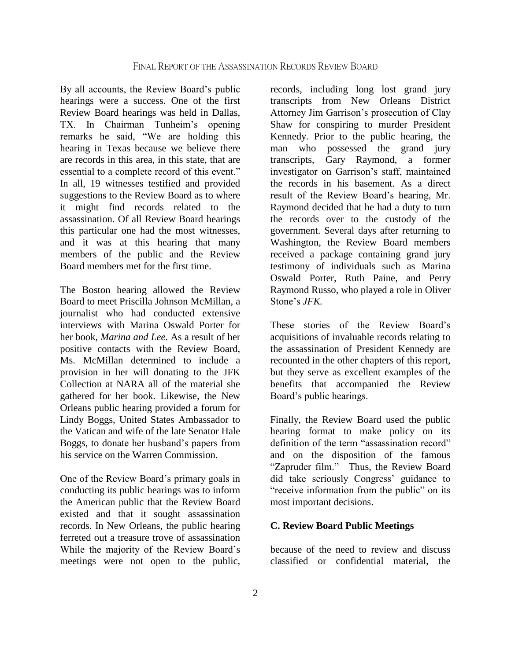By all accounts, the Review Board's public hearings were a success. One of the first Review Board hearings was held in Dallas, TX. In Chairman Tunheim's opening remarks he said, "We are holding this hearing in Texas because we believe there are records in this area, in this state, that are essential to a complete record of this event." In all, 19 witnesses testified and provided suggestions to the Review Board as to where it might find records related to the assassination. Of all Review Board hearings this particular one had the most witnesses, and it was at this hearing that many members of the public and the Review Board members met for the first time.

The Boston hearing allowed the Review Board to meet Priscilla Johnson McMillan, a journalist who had conducted extensive interviews with Marina Oswald Porter for her book, *Marina and Lee*. As a result of her positive contacts with the Review Board, Ms. McMillan determined to include a provision in her will donating to the JFK Collection at NARA all of the material she gathered for her book. Likewise, the New Orleans public hearing provided a forum for Lindy Boggs, United States Ambassador to the Vatican and wife of the late Senator Hale Boggs, to donate her husband's papers from his service on the Warren Commission.

One of the Review Board's primary goals in conducting its public hearings was to inform the American public that the Review Board existed and that it sought assassination records. In New Orleans, the public hearing ferreted out a treasure trove of assassination While the majority of the Review Board's meetings were not open to the public,

records, including long lost grand jury transcripts from New Orleans District Attorney Jim Garrison's prosecution of Clay Shaw for conspiring to murder President Kennedy. Prior to the public hearing, the man who possessed the grand jury transcripts, Gary Raymond, a former investigator on Garrison's staff, maintained the records in his basement. As a direct result of the Review Board's hearing, Mr. Raymond decided that he had a duty to turn the records over to the custody of the government. Several days after returning to Washington, the Review Board members received a package containing grand jury testimony of individuals such as Marina Oswald Porter, Ruth Paine, and Perry Raymond Russo, who played a role in Oliver Stone's *JFK.*

These stories of the Review Board's acquisitions of invaluable records relating to the assassination of President Kennedy are recounted in the other chapters of this report, but they serve as excellent examples of the benefits that accompanied the Review Board's public hearings.

Finally, the Review Board used the public hearing format to make policy on its definition of the term "assassination record" and on the disposition of the famous "Zapruder film." Thus, the Review Board did take seriously Congress' guidance to "receive information from the public" on its most important decisions.

#### **C. Review Board Public Meetings**

because of the need to review and discuss classified or confidential material, the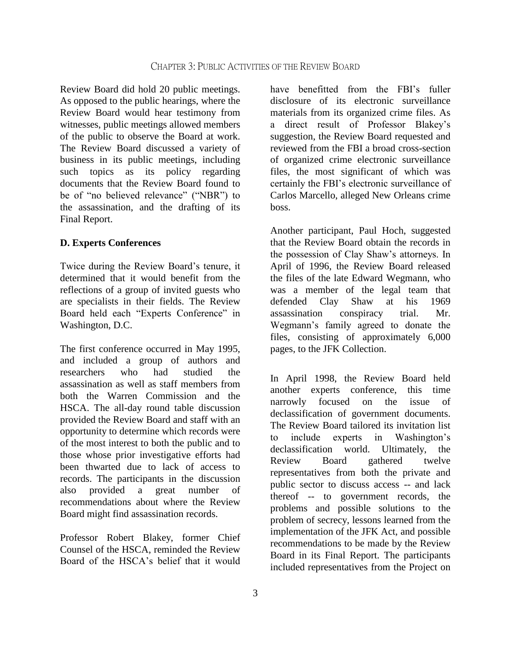Review Board did hold 20 public meetings. As opposed to the public hearings, where the Review Board would hear testimony from witnesses, public meetings allowed members of the public to observe the Board at work. The Review Board discussed a variety of business in its public meetings, including such topics as its policy regarding documents that the Review Board found to be of "no believed relevance" ("NBR") to the assassination, and the drafting of its Final Report.

#### **D. Experts Conferences**

Twice during the Review Board's tenure, it determined that it would benefit from the reflections of a group of invited guests who are specialists in their fields. The Review Board held each "Experts Conference" in Washington, D.C.

The first conference occurred in May 1995, and included a group of authors and researchers who had studied the assassination as well as staff members from both the Warren Commission and the HSCA. The all-day round table discussion provided the Review Board and staff with an opportunity to determine which records were of the most interest to both the public and to those whose prior investigative efforts had been thwarted due to lack of access to records. The participants in the discussion also provided a great number of recommendations about where the Review Board might find assassination records.

Professor Robert Blakey, former Chief Counsel of the HSCA, reminded the Review Board of the HSCA's belief that it would

have benefitted from the FBI's fuller disclosure of its electronic surveillance materials from its organized crime files. As a direct result of Professor Blakey's suggestion, the Review Board requested and reviewed from the FBI a broad cross-section of organized crime electronic surveillance files, the most significant of which was certainly the FBI's electronic surveillance of Carlos Marcello, alleged New Orleans crime boss.

Another participant, Paul Hoch, suggested that the Review Board obtain the records in the possession of Clay Shaw's attorneys. In April of 1996, the Review Board released the files of the late Edward Wegmann, who was a member of the legal team that defended Clay Shaw at his 1969 assassination conspiracy trial. Mr. Wegmann's family agreed to donate the files, consisting of approximately 6,000 pages, to the JFK Collection.

In April 1998, the Review Board held another experts conference, this time narrowly focused on the issue of declassification of government documents. The Review Board tailored its invitation list to include experts in Washington's declassification world. Ultimately, the Review Board gathered twelve representatives from both the private and public sector to discuss access -- and lack thereof -- to government records, the problems and possible solutions to the problem of secrecy, lessons learned from the implementation of the JFK Act, and possible recommendations to be made by the Review Board in its Final Report. The participants included representatives from the Project on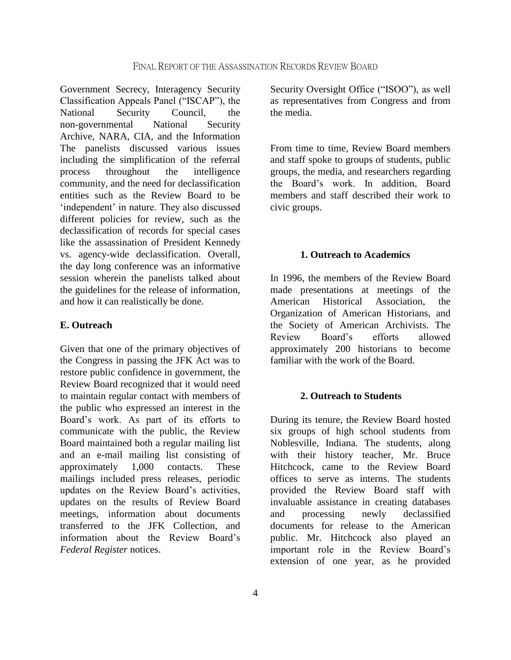Government Secrecy, Interagency Security Classification Appeals Panel ("ISCAP"), the National Security Council, the non-governmental National Security Archive, NARA, CIA, and the Information The panelists discussed various issues including the simplification of the referral process throughout the intelligence community, and the need for declassification entities such as the Review Board to be 'independent' in nature. They also discussed different policies for review, such as the declassification of records for special cases like the assassination of President Kennedy vs. agency-wide declassification. Overall, the day long conference was an informative session wherein the panelists talked about the guidelines for the release of information, and how it can realistically be done.

#### **E. Outreach**

Given that one of the primary objectives of the Congress in passing the JFK Act was to restore public confidence in government, the Review Board recognized that it would need to maintain regular contact with members of the public who expressed an interest in the Board's work. As part of its efforts to communicate with the public, the Review Board maintained both a regular mailing list and an e-mail mailing list consisting of approximately 1,000 contacts. These mailings included press releases, periodic updates on the Review Board's activities, updates on the results of Review Board meetings, information about documents transferred to the JFK Collection, and information about the Review Board's *Federal Register* notices.

Security Oversight Office ("ISOO"), as well as representatives from Congress and from the media.

From time to time, Review Board members and staff spoke to groups of students, public groups, the media, and researchers regarding the Board's work. In addition, Board members and staff described their work to civic groups.

#### **1. Outreach to Academics**

In 1996, the members of the Review Board made presentations at meetings of the American Historical Association, the Organization of American Historians, and the Society of American Archivists. The Review Board's efforts allowed approximately 200 historians to become familiar with the work of the Board.

#### **2. Outreach to Students**

During its tenure, the Review Board hosted six groups of high school students from Noblesville, Indiana. The students, along with their history teacher, Mr. Bruce Hitchcock, came to the Review Board offices to serve as interns. The students provided the Review Board staff with invaluable assistance in creating databases and processing newly declassified documents for release to the American public. Mr. Hitchcock also played an important role in the Review Board's extension of one year, as he provided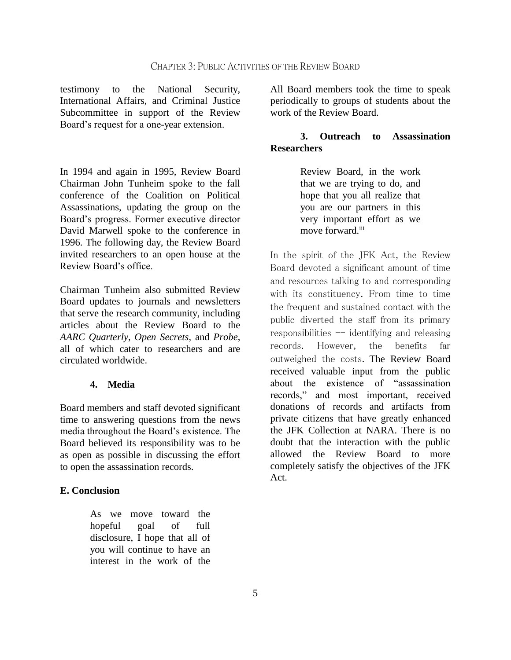testimony to the National Security, International Affairs, and Criminal Justice Subcommittee in support of the Review Board's request for a one-year extension.

In 1994 and again in 1995, Review Board Chairman John Tunheim spoke to the fall conference of the Coalition on Political Assassinations, updating the group on the Board's progress. Former executive director David Marwell spoke to the conference in 1996. The following day, the Review Board invited researchers to an open house at the Review Board's office.

Chairman Tunheim also submitted Review Board updates to journals and newsletters that serve the research community, including articles about the Review Board to the *AARC Quarterly*, *Open Secrets*, and *Probe*, all of which cater to researchers and are circulated worldwide.

#### **4. Media**

Board members and staff devoted significant time to answering questions from the news media throughout the Board's existence. The Board believed its responsibility was to be as open as possible in discussing the effort to open the assassination records.

#### **E. Conclusion**

As we move toward the hopeful goal of full disclosure, I hope that all of you will continue to have an interest in the work of the

All Board members took the time to speak periodically to groups of students about the work of the Review Board.

### **3. Outreach to Assassination Researchers**

Review Board, in the work that we are trying to do, and hope that you all realize that you are our partners in this very important effort as we move forward.<sup>iii</sup>

In the spirit of the JFK Act, the Review Board devoted a significant amount of time and resources talking to and corresponding with its constituency. From time to time the frequent and sustained contact with the public diverted the staff from its primary responsibilities  $-$  identifying and releasing records. However, the benefits far outweighed the costs. The Review Board received valuable input from the public about the existence of "assassination records," and most important, received donations of records and artifacts from private citizens that have greatly enhanced the JFK Collection at NARA. There is no doubt that the interaction with the public allowed the Review Board to more completely satisfy the objectives of the JFK Act.